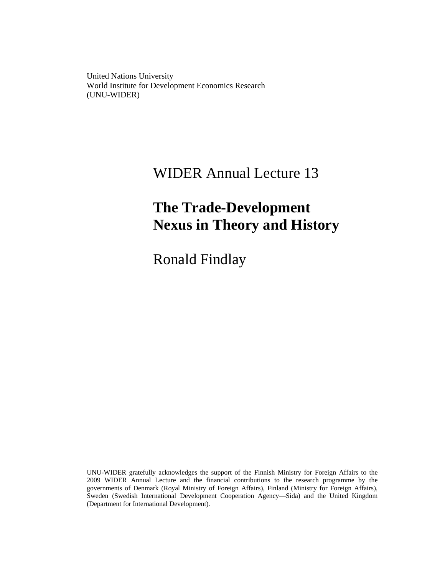United Nations University World Institute for Development Economics Research (UNU-WIDER)

# WIDER Annual Lecture 13

# **The Trade-Development Nexus in Theory and History**

Ronald Findlay

UNU-WIDER gratefully acknowledges the support of the Finnish Ministry for Foreign Affairs to the 2009 WIDER Annual Lecture and the financial contributions to the research programme by the governments of Denmark (Royal Ministry of Foreign Affairs), Finland (Ministry for Foreign Affairs), Sweden (Swedish International Development Cooperation Agency—Sida) and the United Kingdom (Department for International Development).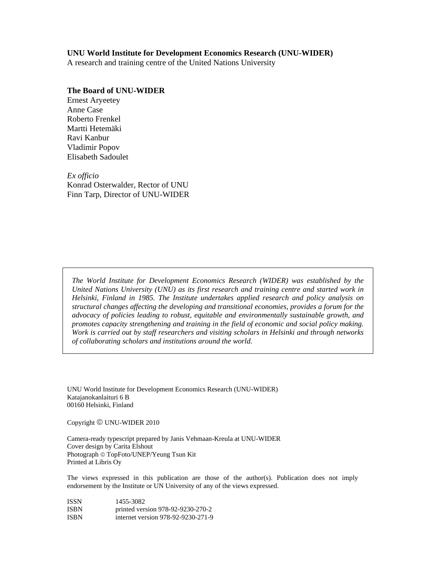#### **UNU World Institute for Development Economics Research (UNU-WIDER)**

A research and training centre of the United Nations University

#### **The Board of UNU-WIDER**

Ernest Aryeetey Anne Case Roberto Frenkel Martti Hetemäki Ravi Kanbur Vladimir Popov Elisabeth Sadoulet

*Ex officio*  Konrad Osterwalder, Rector of UNU Finn Tarp, Director of UNU-WIDER

*The World Institute for Development Economics Research (WIDER) was established by the United Nations University (UNU) as its first research and training centre and started work in Helsinki, Finland in 1985. The Institute undertakes applied research and policy analysis on structural changes affecting the developing and transitional economies, provides a forum for the advocacy of policies leading to robust, equitable and environmentally sustainable growth, and promotes capacity strengthening and training in the field of economic and social policy making. Work is carried out by staff researchers and visiting scholars in Helsinki and through networks of collaborating scholars and institutions around the world.* 

UNU World Institute for Development Economics Research (UNU-WIDER) Katajanokanlaituri 6 B 00160 Helsinki, Finland

Copyright © UNU-WIDER 2010

Camera-ready typescript prepared by Janis Vehmaan-Kreula at UNU-WIDER Cover design by Carita Elshout Photograph © TopFoto/UNEP/Yeung Tsun Kit Printed at Libris Oy

The views expressed in this publication are those of the author(s). Publication does not imply endorsement by the Institute or UN University of any of the views expressed.

| ISSN        | 1455-3082                          |
|-------------|------------------------------------|
| <b>ISBN</b> | printed version 978-92-9230-270-2  |
| ISBN        | internet version 978-92-9230-271-9 |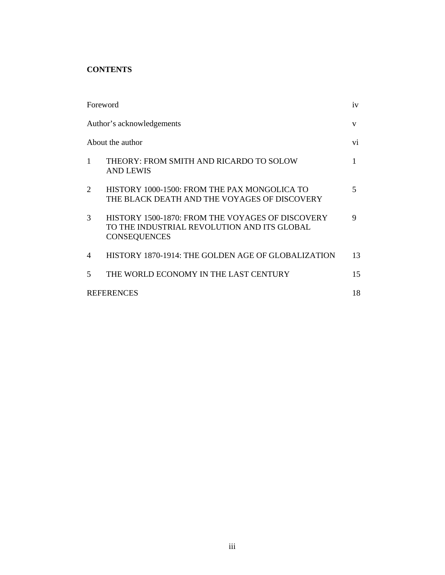# **CONTENTS**

| Foreword                    |                                                                                                                        | iv  |
|-----------------------------|------------------------------------------------------------------------------------------------------------------------|-----|
|                             | Author's acknowledgements                                                                                              | V   |
|                             | About the author                                                                                                       | Vİ. |
| 1                           | THEORY: FROM SMITH AND RICARDO TO SOLOW<br>AND LEWIS                                                                   | 1   |
| $\mathcal{D}_{\mathcal{L}}$ | HISTORY 1000-1500: FROM THE PAX MONGOLICA TO<br>THE BLACK DEATH AND THE VOYAGES OF DISCOVERY                           | 5   |
| 3                           | HISTORY 1500-1870: FROM THE VOYAGES OF DISCOVERY<br>TO THE INDUSTRIAL REVOLUTION AND ITS GLOBAL<br><b>CONSEQUENCES</b> | 9   |
| $\overline{4}$              | HISTORY 1870-1914: THE GOLDEN AGE OF GLOBALIZATION                                                                     | 13  |
| 5                           | THE WORLD ECONOMY IN THE LAST CENTURY                                                                                  | 15  |
|                             | <b>REFERENCES</b>                                                                                                      | 18  |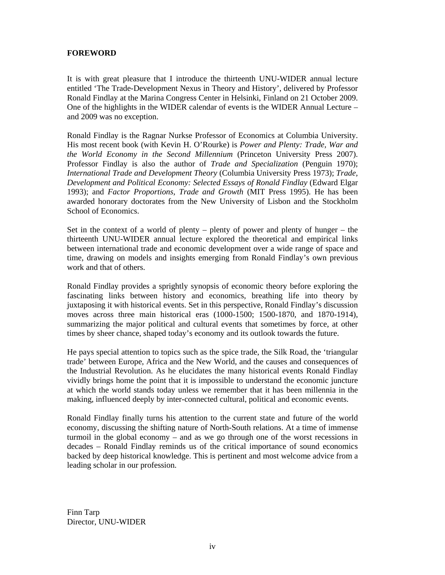## **FOREWORD**

It is with great pleasure that I introduce the thirteenth UNU-WIDER annual lecture entitled 'The Trade-Development Nexus in Theory and History', delivered by Professor Ronald Findlay at the Marina Congress Center in Helsinki, Finland on 21 October 2009. One of the highlights in the WIDER calendar of events is the WIDER Annual Lecture – and 2009 was no exception.

Ronald Findlay is the Ragnar Nurkse Professor of Economics at Columbia University. His most recent book (with Kevin H. O'Rourke) is *Power and Plenty: Trade, War and the World Economy in the Second Millennium* (Princeton University Press 2007). Professor Findlay is also the author of *Trade and Specialization* (Penguin 1970); *International Trade and Development Theory* (Columbia University Press 1973); *Trade, Development and Political Economy: Selected Essays of Ronald Findlay* (Edward Elgar 1993); and *Factor Proportions, Trade and Growth* (MIT Press 1995). He has been awarded honorary doctorates from the New University of Lisbon and the Stockholm School of Economics.

Set in the context of a world of plenty – plenty of power and plenty of hunger – the thirteenth UNU-WIDER annual lecture explored the theoretical and empirical links between international trade and economic development over a wide range of space and time, drawing on models and insights emerging from Ronald Findlay's own previous work and that of others.

Ronald Findlay provides a sprightly synopsis of economic theory before exploring the fascinating links between history and economics, breathing life into theory by juxtaposing it with historical events. Set in this perspective, Ronald Findlay's discussion moves across three main historical eras (1000-1500; 1500-1870, and 1870-1914), summarizing the major political and cultural events that sometimes by force, at other times by sheer chance, shaped today's economy and its outlook towards the future.

He pays special attention to topics such as the spice trade, the Silk Road, the 'triangular trade' between Europe, Africa and the New World, and the causes and consequences of the Industrial Revolution. As he elucidates the many historical events Ronald Findlay vividly brings home the point that it is impossible to understand the economic juncture at which the world stands today unless we remember that it has been millennia in the making, influenced deeply by inter-connected cultural, political and economic events.

Ronald Findlay finally turns his attention to the current state and future of the world economy, discussing the shifting nature of North-South relations. At a time of immense turmoil in the global economy – and as we go through one of the worst recessions in decades – Ronald Findlay reminds us of the critical importance of sound economics backed by deep historical knowledge. This is pertinent and most welcome advice from a leading scholar in our profession.

Finn Tarp Director, UNU-WIDER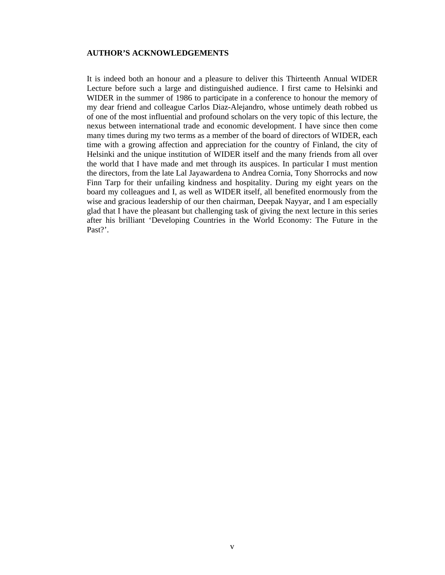### **AUTHOR'S ACKNOWLEDGEMENTS**

It is indeed both an honour and a pleasure to deliver this Thirteenth Annual WIDER Lecture before such a large and distinguished audience. I first came to Helsinki and WIDER in the summer of 1986 to participate in a conference to honour the memory of my dear friend and colleague Carlos Diaz-Alejandro, whose untimely death robbed us of one of the most influential and profound scholars on the very topic of this lecture, the nexus between international trade and economic development. I have since then come many times during my two terms as a member of the board of directors of WIDER, each time with a growing affection and appreciation for the country of Finland, the city of Helsinki and the unique institution of WIDER itself and the many friends from all over the world that I have made and met through its auspices. In particular I must mention the directors, from the late Lal Jayawardena to Andrea Cornia, Tony Shorrocks and now Finn Tarp for their unfailing kindness and hospitality. During my eight years on the board my colleagues and I, as well as WIDER itself, all benefited enormously from the wise and gracious leadership of our then chairman, Deepak Nayyar, and I am especially glad that I have the pleasant but challenging task of giving the next lecture in this series after his brilliant 'Developing Countries in the World Economy: The Future in the Past?'.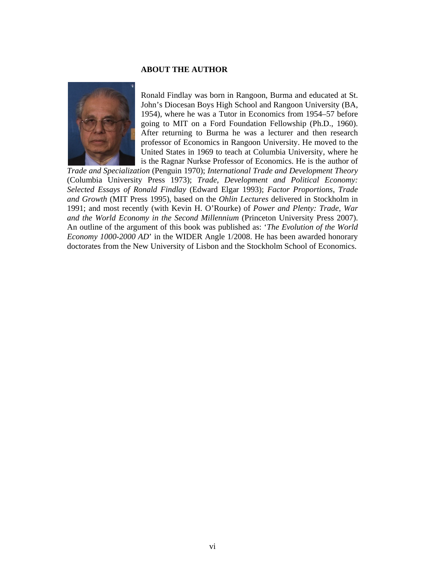#### **ABOUT THE AUTHOR**



Ronald Findlay was born in Rangoon, Burma and educated at St. John's Diocesan Boys High School and Rangoon University (BA, 1954), where he was a Tutor in Economics from 1954–57 before going to MIT on a Ford Foundation Fellowship (Ph.D., 1960). After returning to Burma he was a lecturer and then research professor of Economics in Rangoon University. He moved to the United States in 1969 to teach at Columbia University, where he is the Ragnar Nurkse Professor of Economics. He is the author of

*Trade and Specialization* (Penguin 1970); *International Trade and Development Theory* (Columbia University Press 1973); *Trade, Development and Political Economy: Selected Essays of Ronald Findlay* (Edward Elgar 1993); *Factor Proportions, Trade and Growth* (MIT Press 1995), based on the *Ohlin Lectures* delivered in Stockholm in 1991; and most recently (with Kevin H. O'Rourke) of *Power and Plenty: Trade, War and the World Economy in the Second Millennium* (Princeton University Press 2007). An outline of the argument of this book was published as: '*The Evolution of the World Economy 1000-2000 AD*' in the WIDER Angle 1/2008. He has been awarded honorary doctorates from the New University of Lisbon and the Stockholm School of Economics.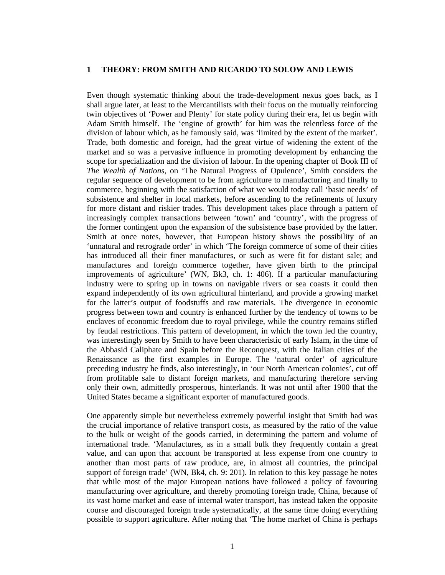# **1 THEORY: FROM SMITH AND RICARDO TO SOLOW AND LEWIS**

Even though systematic thinking about the trade-development nexus goes back, as I shall argue later, at least to the Mercantilists with their focus on the mutually reinforcing twin objectives of 'Power and Plenty' for state policy during their era, let us begin with Adam Smith himself. The 'engine of growth' for him was the relentless force of the division of labour which, as he famously said, was 'limited by the extent of the market'. Trade, both domestic and foreign, had the great virtue of widening the extent of the market and so was a pervasive influence in promoting development by enhancing the scope for specialization and the division of labour. In the opening chapter of Book III of *The Wealth of Nations*, on 'The Natural Progress of Opulence', Smith considers the regular sequence of development to be from agriculture to manufacturing and finally to commerce, beginning with the satisfaction of what we would today call 'basic needs' of subsistence and shelter in local markets, before ascending to the refinements of luxury for more distant and riskier trades. This development takes place through a pattern of increasingly complex transactions between 'town' and 'country', with the progress of the former contingent upon the expansion of the subsistence base provided by the latter. Smith at once notes, however, that European history shows the possibility of an 'unnatural and retrograde order' in which 'The foreign commerce of some of their cities has introduced all their finer manufactures, or such as were fit for distant sale; and manufactures and foreign commerce together, have given birth to the principal improvements of agriculture' (WN, Bk3, ch. 1: 406). If a particular manufacturing industry were to spring up in towns on navigable rivers or sea coasts it could then expand independently of its own agricultural hinterland, and provide a growing market for the latter's output of foodstuffs and raw materials. The divergence in economic progress between town and country is enhanced further by the tendency of towns to be enclaves of economic freedom due to royal privilege, while the country remains stifled by feudal restrictions. This pattern of development, in which the town led the country, was interestingly seen by Smith to have been characteristic of early Islam, in the time of the Abbasid Caliphate and Spain before the Reconquest, with the Italian cities of the Renaissance as the first examples in Europe. The 'natural order' of agriculture preceding industry he finds, also interestingly, in 'our North American colonies', cut off from profitable sale to distant foreign markets, and manufacturing therefore serving only their own, admittedly prosperous, hinterlands. It was not until after 1900 that the United States became a significant exporter of manufactured goods.

One apparently simple but nevertheless extremely powerful insight that Smith had was the crucial importance of relative transport costs, as measured by the ratio of the value to the bulk or weight of the goods carried, in determining the pattern and volume of international trade. 'Manufactures, as in a small bulk they frequently contain a great value, and can upon that account be transported at less expense from one country to another than most parts of raw produce, are, in almost all countries, the principal support of foreign trade' (WN, Bk4, ch. 9: 201). In relation to this key passage he notes that while most of the major European nations have followed a policy of favouring manufacturing over agriculture, and thereby promoting foreign trade, China, because of its vast home market and ease of internal water transport, has instead taken the opposite course and discouraged foreign trade systematically, at the same time doing everything possible to support agriculture. After noting that 'The home market of China is perhaps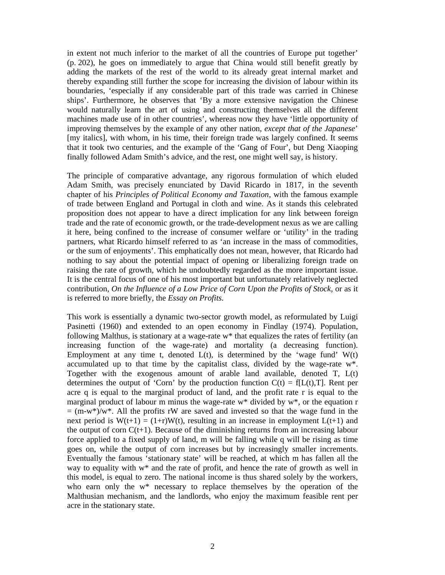in extent not much inferior to the market of all the countries of Europe put together' (p. 202), he goes on immediately to argue that China would still benefit greatly by adding the markets of the rest of the world to its already great internal market and thereby expanding still further the scope for increasing the division of labour within its boundaries, 'especially if any considerable part of this trade was carried in Chinese ships'. Furthermore, he observes that 'By a more extensive navigation the Chinese would naturally learn the art of using and constructing themselves all the different machines made use of in other countries', whereas now they have 'little opportunity of improving themselves by the example of any other nation, *except that of the Japanese*' [my italics], with whom, in his time, their foreign trade was largely confined. It seems that it took two centuries, and the example of the 'Gang of Four', but Deng Xiaoping finally followed Adam Smith's advice, and the rest, one might well say, is history.

The principle of comparative advantage, any rigorous formulation of which eluded Adam Smith, was precisely enunciated by David Ricardo in 1817, in the seventh chapter of his *Principles of Political Economy and Taxation,* with the famous example of trade between England and Portugal in cloth and wine. As it stands this celebrated proposition does not appear to have a direct implication for any link between foreign trade and the rate of economic growth, or the trade-development nexus as we are calling it here, being confined to the increase of consumer welfare or 'utility' in the trading partners, what Ricardo himself referred to as 'an increase in the mass of commodities, or the sum of enjoyments'. This emphatically does not mean, however, that Ricardo had nothing to say about the potential impact of opening or liberalizing foreign trade on raising the rate of growth, which he undoubtedly regarded as the more important issue. It is the central focus of one of his most important but unfortunately relatively neglected contribution, *On the Influence of a Low Price of Corn Upon the Profits of Stock,* or as it is referred to more briefly, the *Essay on Profits.*

This work is essentially a dynamic two-sector growth model, as reformulated by Luigi Pasinetti (1960) and extended to an open economy in Findlay (1974). Population, following Malthus, is stationary at a wage-rate w\* that equalizes the rates of fertility (an increasing function of the wage-rate) and mortality (a decreasing function). Employment at any time t, denoted  $L(t)$ , is determined by the 'wage fund'  $W(t)$ accumulated up to that time by the capitalist class, divided by the wage-rate w\*. Together with the exogenous amount of arable land available, denoted T, L(t) determines the output of 'Corn' by the production function  $C(t) = f[L(t),T]$ . Rent per acre q is equal to the marginal product of land, and the profit rate r is equal to the marginal product of labour m minus the wage-rate w\* divided by w\*, or the equation r  $=$  (m-w<sup>\*</sup>)/w<sup>\*</sup>. All the profits rW are saved and invested so that the wage fund in the next period is  $W(t+1) = (1+r)W(t)$ , resulting in an increase in employment  $L(t+1)$  and the output of corn  $C(t+1)$ . Because of the diminishing returns from an increasing labour force applied to a fixed supply of land, m will be falling while q will be rising as time goes on, while the output of corn increases but by increasingly smaller increments. Eventually the famous 'stationary state' will be reached, at which m has fallen all the way to equality with w\* and the rate of profit, and hence the rate of growth as well in this model, is equal to zero. The national income is thus shared solely by the workers, who earn only the w\* necessary to replace themselves by the operation of the Malthusian mechanism, and the landlords, who enjoy the maximum feasible rent per acre in the stationary state.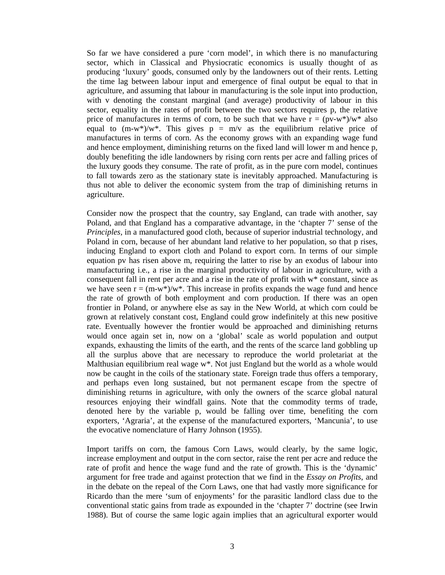So far we have considered a pure 'corn model', in which there is no manufacturing sector, which in Classical and Physiocratic economics is usually thought of as producing 'luxury' goods, consumed only by the landowners out of their rents. Letting the time lag between labour input and emergence of final output be equal to that in agriculture, and assuming that labour in manufacturing is the sole input into production, with v denoting the constant marginal (and average) productivity of labour in this sector, equality in the rates of profit between the two sectors requires p, the relative price of manufactures in terms of corn, to be such that we have  $r = (pv-w^*)/w^*$  also equal to  $(m-w^*)/w^*$ . This gives  $p = m/v$  as the equilibrium relative price of manufactures in terms of corn. As the economy grows with an expanding wage fund and hence employment, diminishing returns on the fixed land will lower m and hence p, doubly benefiting the idle landowners by rising corn rents per acre and falling prices of the luxury goods they consume. The rate of profit, as in the pure corn model, continues to fall towards zero as the stationary state is inevitably approached. Manufacturing is thus not able to deliver the economic system from the trap of diminishing returns in agriculture.

Consider now the prospect that the country, say England, can trade with another, say Poland, and that England has a comparative advantage, in the 'chapter 7' sense of the *Principles*, in a manufactured good cloth, because of superior industrial technology, and Poland in corn, because of her abundant land relative to her population, so that p rises, inducing England to export cloth and Poland to export corn. In terms of our simple equation pv has risen above m, requiring the latter to rise by an exodus of labour into manufacturing i.e., a rise in the marginal productivity of labour in agriculture, with a consequent fall in rent per acre and a rise in the rate of profit with w\* constant, since as we have seen  $r = (m-w^*)/w^*$ . This increase in profits expands the wage fund and hence the rate of growth of both employment and corn production. If there was an open frontier in Poland, or anywhere else as say in the New World, at which corn could be grown at relatively constant cost, England could grow indefinitely at this new positive rate. Eventually however the frontier would be approached and diminishing returns would once again set in, now on a 'global' scale as world population and output expands, exhausting the limits of the earth, and the rents of the scarce land gobbling up all the surplus above that are necessary to reproduce the world proletariat at the Malthusian equilibrium real wage w<sup>\*</sup>. Not just England but the world as a whole would now be caught in the coils of the stationary state. Foreign trade thus offers a temporary, and perhaps even long sustained, but not permanent escape from the spectre of diminishing returns in agriculture, with only the owners of the scarce global natural resources enjoying their windfall gains. Note that the commodity terms of trade, denoted here by the variable p, would be falling over time, benefiting the corn exporters, 'Agraria', at the expense of the manufactured exporters, 'Mancunia', to use the evocative nomenclature of Harry Johnson (1955).

Import tariffs on corn, the famous Corn Laws, would clearly, by the same logic, increase employment and output in the corn sector, raise the rent per acre and reduce the rate of profit and hence the wage fund and the rate of growth. This is the 'dynamic' argument for free trade and against protection that we find in the *Essay on Profits*, and in the debate on the repeal of the Corn Laws, one that had vastly more significance for Ricardo than the mere 'sum of enjoyments' for the parasitic landlord class due to the conventional static gains from trade as expounded in the 'chapter 7' doctrine (see Irwin 1988). But of course the same logic again implies that an agricultural exporter would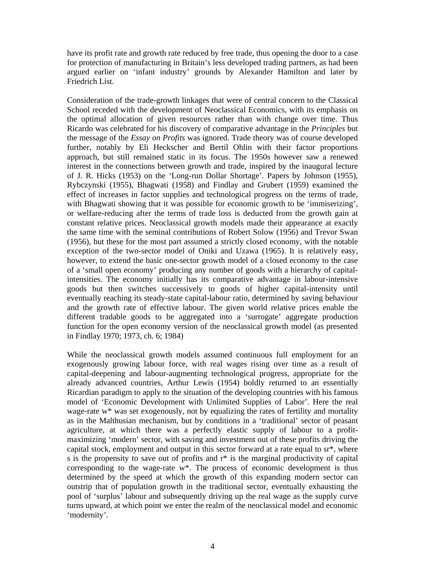have its profit rate and growth rate reduced by free trade, thus opening the door to a case for protection of manufacturing in Britain's less developed trading partners, as had been argued earlier on 'infant industry' grounds by Alexander Hamilton and later by Friedrich List.

Consideration of the trade-growth linkages that were of central concern to the Classical School receded with the development of Neoclassical Economics, with its emphasis on the optimal allocation of given resources rather than with change over time. Thus Ricardo was celebrated for his discovery of comparative advantage in the *Principles* but the message of the *Essay on Profits* was ignored. Trade theory was of course developed further, notably by Eli Heckscher and Bertil Ohlin with their factor proportions approach, but still remained static in its focus. The 1950s however saw a renewed interest in the connections between growth and trade, inspired by the inaugural lecture of J. R. Hicks (1953) on the 'Long-run Dollar Shortage'. Papers by Johnson (1955), Rybczynski (1955), Bhagwati (1958) and Findlay and Grubert (1959) examined the effect of increases in factor supplies and technological progress on the terms of trade, with Bhagwati showing that it was possible for economic growth to be 'immiserizing', or welfare-reducing after the terms of trade loss is deducted from the growth gain at constant relative prices. Neoclassical growth models made their appearance at exactly the same time with the seminal contributions of Robert Solow (1956) and Trevor Swan (1956), but these for the most part assumed a strictly closed economy, with the notable exception of the two-sector model of Oniki and Uzawa (1965). It is relatively easy, however, to extend the basic one-sector growth model of a closed economy to the case of a 'small open economy' producing any number of goods with a hierarchy of capitalintensities. The economy initially has its comparative advantage in labour-intensive goods but then switches successively to goods of higher capital-intensity until eventually reaching its steady-state capital-labour ratio, determined by saving behaviour and the growth rate of effective labour. The given world relative prices enable the different tradable goods to be aggregated into a 'surrogate' aggregate production function for the open economy version of the neoclassical growth model (as presented in Findlay 1970; 1973, ch. 6; 1984)

While the neoclassical growth models assumed continuous full employment for an exogenously growing labour force, with real wages rising over time as a result of capital-deepening and labour-augmenting technological progress, appropriate for the already advanced countries, Arthur Lewis (1954) boldly returned to an essentially Ricardian paradigm to apply to the situation of the developing countries with his famous model of 'Economic Development with Unlimited Supplies of Labor'. Here the real wage-rate w\* was set exogenously, not by equalizing the rates of fertility and mortality as in the Malthusian mechanism, but by conditions in a 'traditional' sector of peasant agriculture, at which there was a perfectly elastic supply of labour to a profitmaximizing 'modern' sector, with saving and investment out of these profits driving the capital stock, employment and output in this sector forward at a rate equal to sr\*, where s is the propensity to save out of profits and r\* is the marginal productivity of capital corresponding to the wage-rate w\*. The process of economic development is thus determined by the speed at which the growth of this expanding modern sector can outstrip that of population growth in the traditional sector, eventually exhausting the pool of 'surplus' labour and subsequently driving up the real wage as the supply curve turns upward, at which point we enter the realm of the neoclassical model and economic 'modernity'.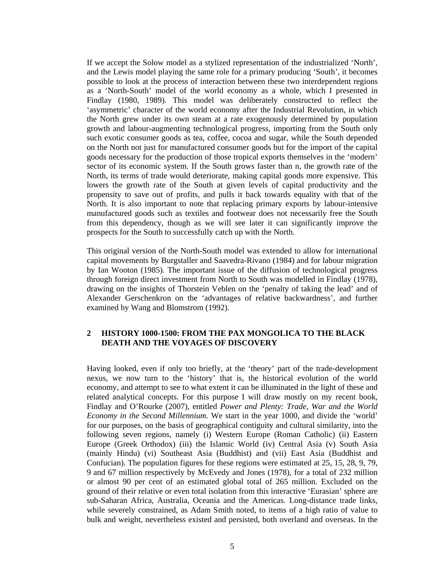If we accept the Solow model as a stylized representation of the industrialized 'North', and the Lewis model playing the same role for a primary producing 'South', it becomes possible to look at the process of interaction between these two interdependent regions as a 'North-South' model of the world economy as a whole, which I presented in Findlay (1980, 1989). This model was deliberately constructed to reflect the 'asymmetric' character of the world economy after the Industrial Revolution, in which the North grew under its own steam at a rate exogenously determined by population growth and labour-augmenting technological progress, importing from the South only such exotic consumer goods as tea, coffee, cocoa and sugar, while the South depended on the North not just for manufactured consumer goods but for the import of the capital goods necessary for the production of those tropical exports themselves in the 'modern' sector of its economic system. If the South grows faster than n, the growth rate of the North, its terms of trade would deteriorate, making capital goods more expensive. This lowers the growth rate of the South at given levels of capital productivity and the propensity to save out of profits, and pulls it back towards equality with that of the North. It is also important to note that replacing primary exports by labour-intensive manufactured goods such as textiles and footwear does not necessarily free the South from this dependency, though as we will see later it can significantly improve the prospects for the South to successfully catch up with the North.

This original version of the North-South model was extended to allow for international capital movements by Burgstaller and Saavedra-Rivano (1984) and for labour migration by Ian Wooton (1985). The important issue of the diffusion of technological progress through foreign direct investment from North to South was modelled in Findlay (1978), drawing on the insights of Thorstein Veblen on the 'penalty of taking the lead' and of Alexander Gerschenkron on the 'advantages of relative backwardness', and further examined by Wang and Blomstrom (1992).

## **2 HISTORY 1000-1500: FROM THE PAX MONGOLICA TO THE BLACK DEATH AND THE VOYAGES OF DISCOVERY**

Having looked, even if only too briefly, at the 'theory' part of the trade-development nexus, we now turn to the 'history' that is, the historical evolution of the world economy, and attempt to see to what extent it can be illuminated in the light of these and related analytical concepts. For this purpose I will draw mostly on my recent book, Findlay and O'Rourke (2007), entitled *Power and Plenty: Trade, War and the World Economy in the Second Millennium.* We start in the year 1000, and divide the 'world' for our purposes, on the basis of geographical contiguity and cultural similarity, into the following seven regions, namely (i) Western Europe (Roman Catholic) (ii) Eastern Europe (Greek Orthodox) (iii) the Islamic World (iv) Central Asia (v) South Asia (mainly Hindu) (vi) Southeast Asia (Buddhist) and (vii) East Asia (Buddhist and Confucian). The population figures for these regions were estimated at 25, 15, 28, 9, 79, 9 and 67 million respectively by McEvedy and Jones (1978), for a total of 232 million or almost 90 per cent of an estimated global total of 265 million. Excluded on the ground of their relative or even total isolation from this interactive 'Eurasian' sphere are sub-Saharan Africa, Australia, Oceania and the Americas. Long-distance trade links, while severely constrained, as Adam Smith noted, to items of a high ratio of value to bulk and weight, nevertheless existed and persisted, both overland and overseas. In the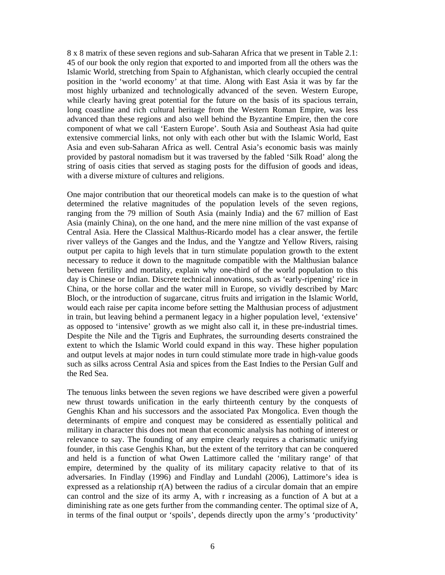8 x 8 matrix of these seven regions and sub-Saharan Africa that we present in Table 2.1: 45 of our book the only region that exported to and imported from all the others was the Islamic World, stretching from Spain to Afghanistan, which clearly occupied the central position in the 'world economy' at that time. Along with East Asia it was by far the most highly urbanized and technologically advanced of the seven. Western Europe, while clearly having great potential for the future on the basis of its spacious terrain, long coastline and rich cultural heritage from the Western Roman Empire, was less advanced than these regions and also well behind the Byzantine Empire, then the core component of what we call 'Eastern Europe'. South Asia and Southeast Asia had quite extensive commercial links, not only with each other but with the Islamic World, East Asia and even sub-Saharan Africa as well. Central Asia's economic basis was mainly provided by pastoral nomadism but it was traversed by the fabled 'Silk Road' along the string of oasis cities that served as staging posts for the diffusion of goods and ideas, with a diverse mixture of cultures and religions.

One major contribution that our theoretical models can make is to the question of what determined the relative magnitudes of the population levels of the seven regions, ranging from the 79 million of South Asia (mainly India) and the 67 million of East Asia (mainly China), on the one hand, and the mere nine million of the vast expanse of Central Asia. Here the Classical Malthus-Ricardo model has a clear answer, the fertile river valleys of the Ganges and the Indus, and the Yangtze and Yellow Rivers, raising output per capita to high levels that in turn stimulate population growth to the extent necessary to reduce it down to the magnitude compatible with the Malthusian balance between fertility and mortality, explain why one-third of the world population to this day is Chinese or Indian. Discrete technical innovations, such as 'early-ripening' rice in China, or the horse collar and the water mill in Europe, so vividly described by Marc Bloch, or the introduction of sugarcane, citrus fruits and irrigation in the Islamic World, would each raise per capita income before setting the Malthusian process of adjustment in train, but leaving behind a permanent legacy in a higher population level, 'extensive' as opposed to 'intensive' growth as we might also call it, in these pre-industrial times. Despite the Nile and the Tigris and Euphrates, the surrounding deserts constrained the extent to which the Islamic World could expand in this way. These higher population and output levels at major nodes in turn could stimulate more trade in high-value goods such as silks across Central Asia and spices from the East Indies to the Persian Gulf and the Red Sea.

The tenuous links between the seven regions we have described were given a powerful new thrust towards unification in the early thirteenth century by the conquests of Genghis Khan and his successors and the associated Pax Mongolica. Even though the determinants of empire and conquest may be considered as essentially political and military in character this does not mean that economic analysis has nothing of interest or relevance to say. The founding of any empire clearly requires a charismatic unifying founder, in this case Genghis Khan, but the extent of the territory that can be conquered and held is a function of what Owen Lattimore called the 'military range' of that empire, determined by the quality of its military capacity relative to that of its adversaries. In Findlay (1996) and Findlay and Lundahl (2006), Lattimore's idea is expressed as a relationship r(A) between the radius of a circular domain that an empire can control and the size of its army A, with r increasing as a function of A but at a diminishing rate as one gets further from the commanding center. The optimal size of A, in terms of the final output or 'spoils', depends directly upon the army's 'productivity'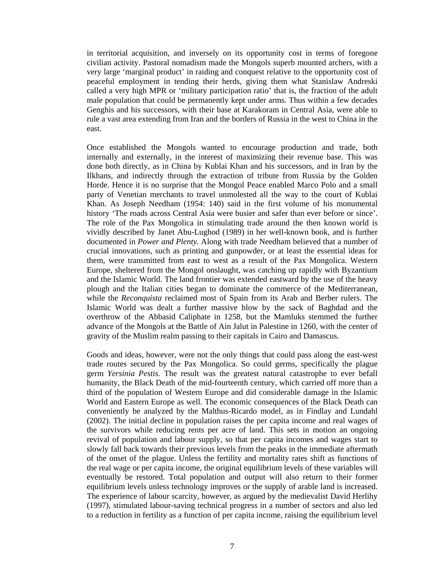in territorial acquisition, and inversely on its opportunity cost in terms of foregone civilian activity. Pastoral nomadism made the Mongols superb mounted archers, with a very large 'marginal product' in raiding and conquest relative to the opportunity cost of peaceful employment in tending their herds, giving them what Stanislaw Andreski called a very high MPR or 'military participation ratio' that is, the fraction of the adult male population that could be permanently kept under arms. Thus within a few decades Genghis and his successors, with their base at Karakoram in Central Asia, were able to rule a vast area extending from Iran and the borders of Russia in the west to China in the east.

Once established the Mongols wanted to encourage production and trade, both internally and externally, in the interest of maximizing their revenue base. This was done both directly, as in China by Kublai Khan and his successors, and in Iran by the Ilkhans, and indirectly through the extraction of tribute from Russia by the Golden Horde. Hence it is no surprise that the Mongol Peace enabled Marco Polo and a small party of Venetian merchants to travel unmolested all the way to the court of Kublai Khan. As Joseph Needham (1954: 140) said in the first volume of his monumental history 'The roads across Central Asia were busier and safer than ever before or since'. The role of the Pax Mongolica in stimulating trade around the then known world is vividly described by Janet Abu-Lughod (1989) in her well-known book, and is further documented in *Power and Plenty.* Along with trade Needham believed that a number of crucial innovations, such as printing and gunpowder, or at least the essential ideas for them, were transmitted from east to west as a result of the Pax Mongolica. Western Europe, sheltered from the Mongol onslaught, was catching up rapidly with Byzantium and the Islamic World. The land frontier was extended eastward by the use of the heavy plough and the Italian cities began to dominate the commerce of the Mediterranean, while the *Reconquista* reclaimed most of Spain from its Arab and Berber rulers. The Islamic World was dealt a further massive blow by the sack of Baghdad and the overthrow of the Abbasid Caliphate in 1258, but the Mamluks stemmed the further advance of the Mongols at the Battle of Ain Jalut in Palestine in 1260, with the center of gravity of the Muslim realm passing to their capitals in Cairo and Damascus.

Goods and ideas, however, were not the only things that could pass along the east-west trade routes secured by the Pax Mongolica. So could germs, specifically the plague germ *Yersinia Pestis.* The result was the greatest natural catastrophe to ever befall humanity, the Black Death of the mid-fourteenth century, which carried off more than a third of the population of Western Europe and did considerable damage in the Islamic World and Eastern Europe as well. The economic consequences of the Black Death can conveniently be analyzed by the Malthus-Ricardo model, as in Findlay and Lundahl (2002). The initial decline in population raises the per capita income and real wages of the survivors while reducing rents per acre of land. This sets in motion an ongoing revival of population and labour supply, so that per capita incomes and wages start to slowly fall back towards their previous levels from the peaks in the immediate aftermath of the onset of the plague. Unless the fertility and mortality rates shift as functions of the real wage or per capita income, the original equilibrium levels of these variables will eventually be restored. Total population and output will also return to their former equilibrium levels unless technology improves or the supply of arable land is increased. The experience of labour scarcity, however, as argued by the medievalist David Herlihy (1997), stimulated labour-saving technical progress in a number of sectors and also led to a reduction in fertility as a function of per capita income, raising the equilibrium level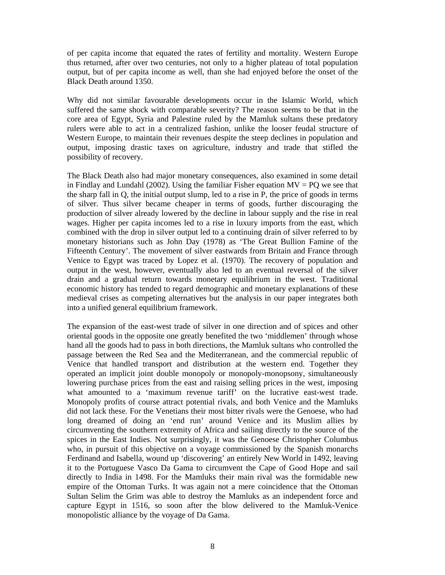of per capita income that equated the rates of fertility and mortality. Western Europe thus returned, after over two centuries, not only to a higher plateau of total population output, but of per capita income as well, than she had enjoyed before the onset of the Black Death around 1350.

Why did not similar favourable developments occur in the Islamic World, which suffered the same shock with comparable severity? The reason seems to be that in the core area of Egypt, Syria and Palestine ruled by the Mamluk sultans these predatory rulers were able to act in a centralized fashion, unlike the looser feudal structure of Western Europe, to maintain their revenues despite the steep declines in population and output, imposing drastic taxes on agriculture, industry and trade that stifled the possibility of recovery.

The Black Death also had major monetary consequences, also examined in some detail in Findlay and Lundahl (2002). Using the familiar Fisher equation  $MV = PQ$  we see that the sharp fall in Q, the initial output slump, led to a rise in P, the price of goods in terms of silver. Thus silver became cheaper in terms of goods, further discouraging the production of silver already lowered by the decline in labour supply and the rise in real wages. Higher per capita incomes led to a rise in luxury imports from the east, which combined with the drop in silver output led to a continuing drain of silver referred to by monetary historians such as John Day (1978) as 'The Great Bullion Famine of the Fifteenth Century'. The movement of silver eastwards from Britain and France through Venice to Egypt was traced by Lopez et al. (1970). The recovery of population and output in the west, however, eventually also led to an eventual reversal of the silver drain and a gradual return towards monetary equilibrium in the west. Traditional economic history has tended to regard demographic and monetary explanations of these medieval crises as competing alternatives but the analysis in our paper integrates both into a unified general equilibrium framework.

The expansion of the east-west trade of silver in one direction and of spices and other oriental goods in the opposite one greatly benefited the two 'middlemen' through whose hand all the goods had to pass in both directions, the Mamluk sultans who controlled the passage between the Red Sea and the Mediterranean, and the commercial republic of Venice that handled transport and distribution at the western end. Together they operated an implicit joint double monopoly or monopoly-monopsony, simultaneously lowering purchase prices from the east and raising selling prices in the west, imposing what amounted to a 'maximum revenue tariff' on the lucrative east-west trade. Monopoly profits of course attract potential rivals, and both Venice and the Mamluks did not lack these. For the Venetians their most bitter rivals were the Genoese, who had long dreamed of doing an 'end run' around Venice and its Muslim allies by circumventing the southern extremity of Africa and sailing directly to the source of the spices in the East Indies. Not surprisingly, it was the Genoese Christopher Columbus who, in pursuit of this objective on a voyage commissioned by the Spanish monarchs Ferdinand and Isabella, wound up 'discovering' an entirely New World in 1492, leaving it to the Portuguese Vasco Da Gama to circumvent the Cape of Good Hope and sail directly to India in 1498. For the Mamluks their main rival was the formidable new empire of the Ottoman Turks. It was again not a mere coincidence that the Ottoman Sultan Selim the Grim was able to destroy the Mamluks as an independent force and capture Egypt in 1516, so soon after the blow delivered to the Mamluk-Venice monopolistic alliance by the voyage of Da Gama.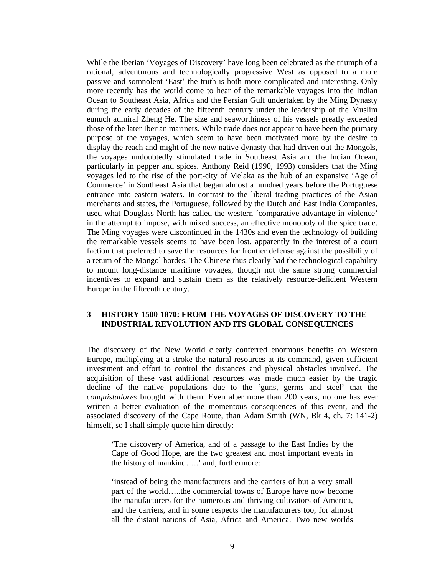While the Iberian 'Voyages of Discovery' have long been celebrated as the triumph of a rational, adventurous and technologically progressive West as opposed to a more passive and somnolent 'East' the truth is both more complicated and interesting. Only more recently has the world come to hear of the remarkable voyages into the Indian Ocean to Southeast Asia, Africa and the Persian Gulf undertaken by the Ming Dynasty during the early decades of the fifteenth century under the leadership of the Muslim eunuch admiral Zheng He. The size and seaworthiness of his vessels greatly exceeded those of the later Iberian mariners. While trade does not appear to have been the primary purpose of the voyages, which seem to have been motivated more by the desire to display the reach and might of the new native dynasty that had driven out the Mongols, the voyages undoubtedly stimulated trade in Southeast Asia and the Indian Ocean, particularly in pepper and spices. Anthony Reid (1990, 1993) considers that the Ming voyages led to the rise of the port-city of Melaka as the hub of an expansive 'Age of Commerce' in Southeast Asia that began almost a hundred years before the Portuguese entrance into eastern waters. In contrast to the liberal trading practices of the Asian merchants and states, the Portuguese, followed by the Dutch and East India Companies, used what Douglass North has called the western 'comparative advantage in violence' in the attempt to impose, with mixed success, an effective monopoly of the spice trade. The Ming voyages were discontinued in the 1430s and even the technology of building the remarkable vessels seems to have been lost, apparently in the interest of a court faction that preferred to save the resources for frontier defense against the possibility of a return of the Mongol hordes. The Chinese thus clearly had the technological capability to mount long-distance maritime voyages, though not the same strong commercial incentives to expand and sustain them as the relatively resource-deficient Western Europe in the fifteenth century.

## **3 HISTORY 1500-1870: FROM THE VOYAGES OF DISCOVERY TO THE INDUSTRIAL REVOLUTION AND ITS GLOBAL CONSEQUENCES**

The discovery of the New World clearly conferred enormous benefits on Western Europe, multiplying at a stroke the natural resources at its command, given sufficient investment and effort to control the distances and physical obstacles involved. The acquisition of these vast additional resources was made much easier by the tragic decline of the native populations due to the 'guns, germs and steel' that the *conquistadores* brought with them. Even after more than 200 years, no one has ever written a better evaluation of the momentous consequences of this event, and the associated discovery of the Cape Route, than Adam Smith (WN, Bk 4, ch. 7: 141-2) himself, so I shall simply quote him directly:

'The discovery of America, and of a passage to the East Indies by the Cape of Good Hope, are the two greatest and most important events in the history of mankind…..' and, furthermore:

'instead of being the manufacturers and the carriers of but a very small part of the world…..the commercial towns of Europe have now become the manufacturers for the numerous and thriving cultivators of America, and the carriers, and in some respects the manufacturers too, for almost all the distant nations of Asia, Africa and America. Two new worlds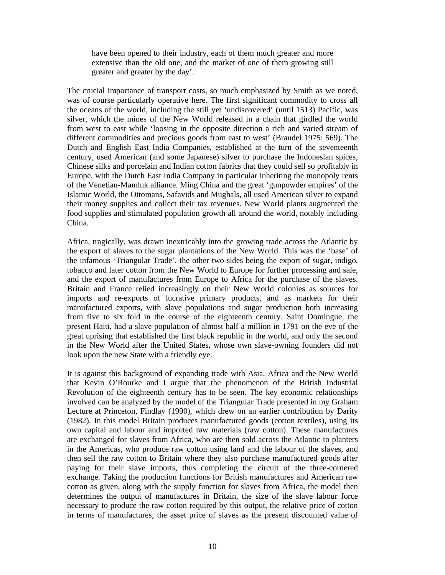have been opened to their industry, each of them much greater and more extensive than the old one, and the market of one of them growing still greater and greater by the day'.

The crucial importance of transport costs, so much emphasized by Smith as we noted, was of course particularly operative here. The first significant commodity to cross all the oceans of the world, including the still yet 'undiscovered' (until 1513) Pacific, was silver, which the mines of the New World released in a chain that girdled the world from west to east while 'loosing in the opposite direction a rich and varied stream of different commodities and precious goods from east to west' (Braudel 1975: 569). The Dutch and English East India Companies, established at the turn of the seventeenth century, used American (and some Japanese) silver to purchase the Indonesian spices, Chinese silks and porcelain and Indian cotton fabrics that they could sell so profitably in Europe, with the Dutch East India Company in particular inheriting the monopoly rents of the Venetian-Mamluk alliance. Ming China and the great 'gunpowder empires' of the Islamic World, the Ottomans, Safavids and Mughals, all used American silver to expand their money supplies and collect their tax revenues. New World plants augmented the food supplies and stimulated population growth all around the world, notably including China.

Africa, tragically, was drawn inextricably into the growing trade across the Atlantic by the export of slaves to the sugar plantations of the New World. This was the 'base' of the infamous 'Triangular Trade', the other two sides being the export of sugar, indigo, tobacco and later cotton from the New World to Europe for further processing and sale, and the export of manufactures from Europe to Africa for the purchase of the slaves. Britain and France relied increasingly on their New World colonies as sources for imports and re-exports of lucrative primary products, and as markets for their manufactured exports, with slave populations and sugar production both increasing from five to six fold in the course of the eighteenth century. Saint Domingue, the present Haiti, had a slave population of almost half a million in 1791 on the eve of the great uprising that established the first black republic in the world, and only the second in the New World after the United States, whose own slave-owning founders did not look upon the new State with a friendly eye.

It is against this background of expanding trade with Asia, Africa and the New World that Kevin O'Rourke and I argue that the phenomenon of the British Industrial Revolution of the eighteenth century has to be seen. The key economic relationships involved can be analyzed by the model of the Triangular Trade presented in my Graham Lecture at Princeton, Findlay (1990), which drew on an earlier contribution by Darity (1982). In this model Britain produces manufactured goods (cotton textiles), using its own capital and labour and imported raw materials (raw cotton). These manufactures are exchanged for slaves from Africa, who are then sold across the Atlantic to planters in the Americas, who produce raw cotton using land and the labour of the slaves, and then sell the raw cotton to Britain where they also purchase manufactured goods after paying for their slave imports, thus completing the circuit of the three-cornered exchange. Taking the production functions for British manufactures and American raw cotton as given, along with the supply function for slaves from Africa, the model then determines the output of manufactures in Britain, the size of the slave labour force necessary to produce the raw cotton required by this output, the relative price of cotton in terms of manufactures, the asset price of slaves as the present discounted value of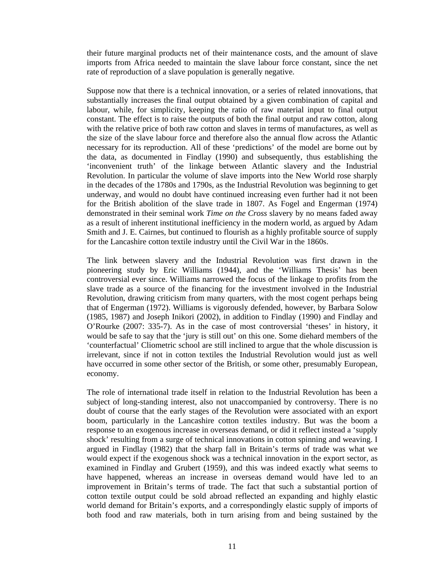their future marginal products net of their maintenance costs, and the amount of slave imports from Africa needed to maintain the slave labour force constant, since the net rate of reproduction of a slave population is generally negative.

Suppose now that there is a technical innovation, or a series of related innovations, that substantially increases the final output obtained by a given combination of capital and labour, while, for simplicity, keeping the ratio of raw material input to final output constant. The effect is to raise the outputs of both the final output and raw cotton, along with the relative price of both raw cotton and slaves in terms of manufactures, as well as the size of the slave labour force and therefore also the annual flow across the Atlantic necessary for its reproduction. All of these 'predictions' of the model are borne out by the data, as documented in Findlay (1990) and subsequently, thus establishing the 'inconvenient truth' of the linkage between Atlantic slavery and the Industrial Revolution. In particular the volume of slave imports into the New World rose sharply in the decades of the 1780s and 1790s, as the Industrial Revolution was beginning to get underway, and would no doubt have continued increasing even further had it not been for the British abolition of the slave trade in 1807. As Fogel and Engerman (1974) demonstrated in their seminal work *Time on the Cross* slavery by no means faded away as a result of inherent institutional inefficiency in the modern world, as argued by Adam Smith and J. E. Cairnes, but continued to flourish as a highly profitable source of supply for the Lancashire cotton textile industry until the Civil War in the 1860s.

The link between slavery and the Industrial Revolution was first drawn in the pioneering study by Eric Williams (1944), and the 'Williams Thesis' has been controversial ever since. Williams narrowed the focus of the linkage to profits from the slave trade as a source of the financing for the investment involved in the Industrial Revolution, drawing criticism from many quarters, with the most cogent perhaps being that of Engerman (1972). Williams is vigorously defended, however, by Barbara Solow (1985, 1987) and Joseph Inikori (2002), in addition to Findlay (1990) and Findlay and O'Rourke (2007: 335-7). As in the case of most controversial 'theses' in history, it would be safe to say that the 'jury is still out' on this one. Some diehard members of the 'counterfactual' Cliometric school are still inclined to argue that the whole discussion is irrelevant, since if not in cotton textiles the Industrial Revolution would just as well have occurred in some other sector of the British, or some other, presumably European, economy.

The role of international trade itself in relation to the Industrial Revolution has been a subject of long-standing interest, also not unaccompanied by controversy. There is no doubt of course that the early stages of the Revolution were associated with an export boom, particularly in the Lancashire cotton textiles industry. But was the boom a response to an exogenous increase in overseas demand, or did it reflect instead a 'supply shock' resulting from a surge of technical innovations in cotton spinning and weaving. I argued in Findlay (1982) that the sharp fall in Britain's terms of trade was what we would expect if the exogenous shock was a technical innovation in the export sector, as examined in Findlay and Grubert (1959), and this was indeed exactly what seems to have happened, whereas an increase in overseas demand would have led to an improvement in Britain's terms of trade. The fact that such a substantial portion of cotton textile output could be sold abroad reflected an expanding and highly elastic world demand for Britain's exports, and a correspondingly elastic supply of imports of both food and raw materials, both in turn arising from and being sustained by the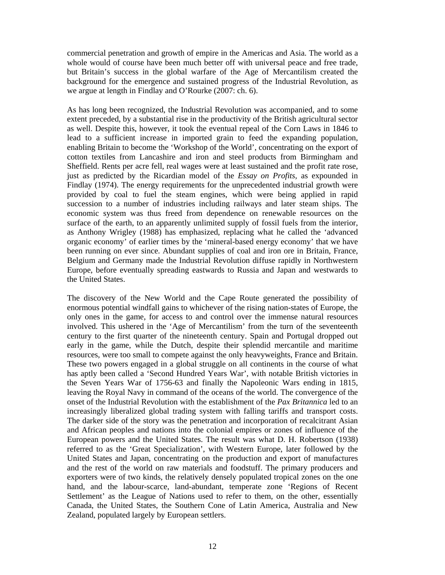commercial penetration and growth of empire in the Americas and Asia. The world as a whole would of course have been much better off with universal peace and free trade, but Britain's success in the global warfare of the Age of Mercantilism created the background for the emergence and sustained progress of the Industrial Revolution, as we argue at length in Findlay and O'Rourke (2007: ch. 6).

As has long been recognized, the Industrial Revolution was accompanied, and to some extent preceded, by a substantial rise in the productivity of the British agricultural sector as well. Despite this, however, it took the eventual repeal of the Corn Laws in 1846 to lead to a sufficient increase in imported grain to feed the expanding population, enabling Britain to become the 'Workshop of the World', concentrating on the export of cotton textiles from Lancashire and iron and steel products from Birmingham and Sheffield. Rents per acre fell, real wages were at least sustained and the profit rate rose, just as predicted by the Ricardian model of the *Essay on Profits,* as expounded in Findlay (1974). The energy requirements for the unprecedented industrial growth were provided by coal to fuel the steam engines, which were being applied in rapid succession to a number of industries including railways and later steam ships. The economic system was thus freed from dependence on renewable resources on the surface of the earth, to an apparently unlimited supply of fossil fuels from the interior, as Anthony Wrigley (1988) has emphasized, replacing what he called the 'advanced organic economy' of earlier times by the 'mineral-based energy economy' that we have been running on ever since. Abundant supplies of coal and iron ore in Britain, France, Belgium and Germany made the Industrial Revolution diffuse rapidly in Northwestern Europe, before eventually spreading eastwards to Russia and Japan and westwards to the United States.

The discovery of the New World and the Cape Route generated the possibility of enormous potential windfall gains to whichever of the rising nation-states of Europe, the only ones in the game, for access to and control over the immense natural resources involved. This ushered in the 'Age of Mercantilism' from the turn of the seventeenth century to the first quarter of the nineteenth century. Spain and Portugal dropped out early in the game, while the Dutch, despite their splendid mercantile and maritime resources, were too small to compete against the only heavyweights, France and Britain. These two powers engaged in a global struggle on all continents in the course of what has aptly been called a 'Second Hundred Years War', with notable British victories in the Seven Years War of 1756-63 and finally the Napoleonic Wars ending in 1815, leaving the Royal Navy in command of the oceans of the world. The convergence of the onset of the Industrial Revolution with the establishment of the *Pax Britannica* led to an increasingly liberalized global trading system with falling tariffs and transport costs. The darker side of the story was the penetration and incorporation of recalcitrant Asian and African peoples and nations into the colonial empires or zones of influence of the European powers and the United States. The result was what D. H. Robertson (1938) referred to as the 'Great Specialization', with Western Europe, later followed by the United States and Japan, concentrating on the production and export of manufactures and the rest of the world on raw materials and foodstuff. The primary producers and exporters were of two kinds, the relatively densely populated tropical zones on the one hand, and the labour-scarce, land-abundant, temperate zone 'Regions of Recent Settlement' as the League of Nations used to refer to them, on the other, essentially Canada, the United States, the Southern Cone of Latin America, Australia and New Zealand, populated largely by European settlers.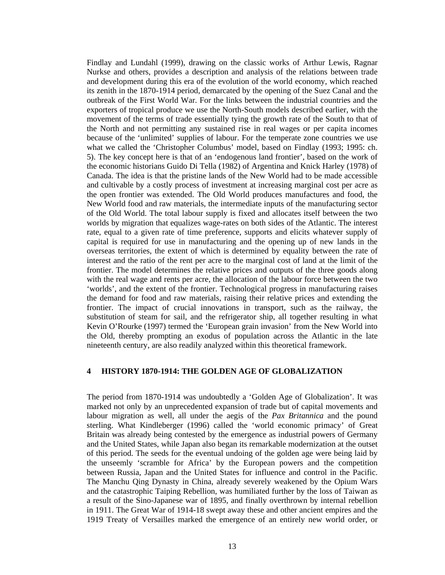Findlay and Lundahl (1999), drawing on the classic works of Arthur Lewis, Ragnar Nurkse and others, provides a description and analysis of the relations between trade and development during this era of the evolution of the world economy, which reached its zenith in the 1870-1914 period, demarcated by the opening of the Suez Canal and the outbreak of the First World War. For the links between the industrial countries and the exporters of tropical produce we use the North-South models described earlier, with the movement of the terms of trade essentially tying the growth rate of the South to that of the North and not permitting any sustained rise in real wages or per capita incomes because of the 'unlimited' supplies of labour. For the temperate zone countries we use what we called the 'Christopher Columbus' model, based on Findlay (1993; 1995: ch. 5). The key concept here is that of an 'endogenous land frontier', based on the work of the economic historians Guido Di Tella (1982) of Argentina and Knick Harley (1978) of Canada. The idea is that the pristine lands of the New World had to be made accessible and cultivable by a costly process of investment at increasing marginal cost per acre as the open frontier was extended. The Old World produces manufactures and food, the New World food and raw materials, the intermediate inputs of the manufacturing sector of the Old World. The total labour supply is fixed and allocates itself between the two worlds by migration that equalizes wage-rates on both sides of the Atlantic. The interest rate, equal to a given rate of time preference, supports and elicits whatever supply of capital is required for use in manufacturing and the opening up of new lands in the overseas territories, the extent of which is determined by equality between the rate of interest and the ratio of the rent per acre to the marginal cost of land at the limit of the frontier. The model determines the relative prices and outputs of the three goods along with the real wage and rents per acre, the allocation of the labour force between the two 'worlds', and the extent of the frontier. Technological progress in manufacturing raises the demand for food and raw materials, raising their relative prices and extending the frontier. The impact of crucial innovations in transport, such as the railway, the substitution of steam for sail, and the refrigerator ship, all together resulting in what Kevin O'Rourke (1997) termed the 'European grain invasion' from the New World into the Old, thereby prompting an exodus of population across the Atlantic in the late nineteenth century, are also readily analyzed within this theoretical framework.

## **4 HISTORY 1870-1914: THE GOLDEN AGE OF GLOBALIZATION**

The period from 1870-1914 was undoubtedly a 'Golden Age of Globalization'. It was marked not only by an unprecedented expansion of trade but of capital movements and labour migration as well, all under the aegis of the *Pax Britannica* and the pound sterling. What Kindleberger (1996) called the 'world economic primacy' of Great Britain was already being contested by the emergence as industrial powers of Germany and the United States, while Japan also began its remarkable modernization at the outset of this period. The seeds for the eventual undoing of the golden age were being laid by the unseemly 'scramble for Africa' by the European powers and the competition between Russia, Japan and the United States for influence and control in the Pacific. The Manchu Qing Dynasty in China, already severely weakened by the Opium Wars and the catastrophic Taiping Rebellion, was humiliated further by the loss of Taiwan as a result of the Sino-Japanese war of 1895, and finally overthrown by internal rebellion in 1911. The Great War of 1914-18 swept away these and other ancient empires and the 1919 Treaty of Versailles marked the emergence of an entirely new world order, or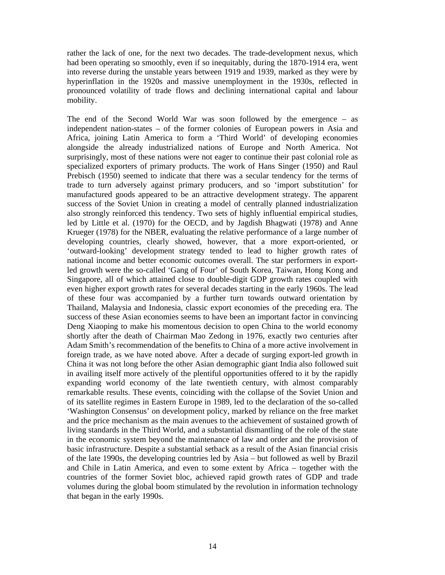rather the lack of one, for the next two decades. The trade-development nexus, which had been operating so smoothly, even if so inequitably, during the 1870-1914 era, went into reverse during the unstable years between 1919 and 1939, marked as they were by hyperinflation in the 1920s and massive unemployment in the 1930s, reflected in pronounced volatility of trade flows and declining international capital and labour mobility.

The end of the Second World War was soon followed by the emergence – as independent nation-states – of the former colonies of European powers in Asia and Africa, joining Latin America to form a 'Third World' of developing economies alongside the already industrialized nations of Europe and North America. Not surprisingly, most of these nations were not eager to continue their past colonial role as specialized exporters of primary products. The work of Hans Singer (1950) and Raul Prebisch (1950) seemed to indicate that there was a secular tendency for the terms of trade to turn adversely against primary producers, and so 'import substitution' for manufactured goods appeared to be an attractive development strategy. The apparent success of the Soviet Union in creating a model of centrally planned industrialization also strongly reinforced this tendency. Two sets of highly influential empirical studies, led by Little et al. (1970) for the OECD, and by Jagdish Bhagwati (1978) and Anne Krueger (1978) for the NBER, evaluating the relative performance of a large number of developing countries, clearly showed, however, that a more export-oriented, or 'outward-looking' development strategy tended to lead to higher growth rates of national income and better economic outcomes overall. The star performers in exportled growth were the so-called 'Gang of Four' of South Korea, Taiwan, Hong Kong and Singapore, all of which attained close to double-digit GDP growth rates coupled with even higher export growth rates for several decades starting in the early 1960s. The lead of these four was accompanied by a further turn towards outward orientation by Thailand, Malaysia and Indonesia, classic export economies of the preceding era. The success of these Asian economies seems to have been an important factor in convincing Deng Xiaoping to make his momentous decision to open China to the world economy shortly after the death of Chairman Mao Zedong in 1976, exactly two centuries after Adam Smith's recommendation of the benefits to China of a more active involvement in foreign trade, as we have noted above. After a decade of surging export-led growth in China it was not long before the other Asian demographic giant India also followed suit in availing itself more actively of the plentiful opportunities offered to it by the rapidly expanding world economy of the late twentieth century, with almost comparably remarkable results. These events, coinciding with the collapse of the Soviet Union and of its satellite regimes in Eastern Europe in 1989, led to the declaration of the so-called 'Washington Consensus' on development policy, marked by reliance on the free market and the price mechanism as the main avenues to the achievement of sustained growth of living standards in the Third World, and a substantial dismantling of the role of the state in the economic system beyond the maintenance of law and order and the provision of basic infrastructure. Despite a substantial setback as a result of the Asian financial crisis of the late 1990s, the developing countries led by Asia – but followed as well by Brazil and Chile in Latin America, and even to some extent by Africa – together with the countries of the former Soviet bloc, achieved rapid growth rates of GDP and trade volumes during the global boom stimulated by the revolution in information technology that began in the early 1990s.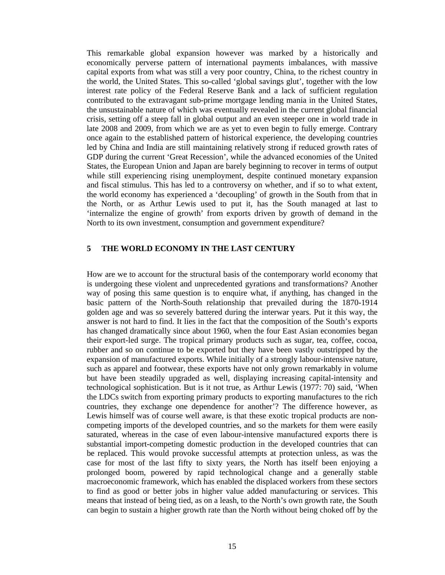This remarkable global expansion however was marked by a historically and economically perverse pattern of international payments imbalances, with massive capital exports from what was still a very poor country, China, to the richest country in the world, the United States. This so-called 'global savings glut', together with the low interest rate policy of the Federal Reserve Bank and a lack of sufficient regulation contributed to the extravagant sub-prime mortgage lending mania in the United States, the unsustainable nature of which was eventually revealed in the current global financial crisis, setting off a steep fall in global output and an even steeper one in world trade in late 2008 and 2009, from which we are as yet to even begin to fully emerge. Contrary once again to the established pattern of historical experience, the developing countries led by China and India are still maintaining relatively strong if reduced growth rates of GDP during the current 'Great Recession', while the advanced economies of the United States, the European Union and Japan are barely beginning to recover in terms of output while still experiencing rising unemployment, despite continued monetary expansion and fiscal stimulus. This has led to a controversy on whether, and if so to what extent, the world economy has experienced a 'decoupling' of growth in the South from that in the North, or as Arthur Lewis used to put it, has the South managed at last to 'internalize the engine of growth' from exports driven by growth of demand in the North to its own investment, consumption and government expenditure?

## **5 THE WORLD ECONOMY IN THE LAST CENTURY**

How are we to account for the structural basis of the contemporary world economy that is undergoing these violent and unprecedented gyrations and transformations? Another way of posing this same question is to enquire what, if anything, has changed in the basic pattern of the North-South relationship that prevailed during the 1870-1914 golden age and was so severely battered during the interwar years. Put it this way, the answer is not hard to find. It lies in the fact that the composition of the South's exports has changed dramatically since about 1960, when the four East Asian economies began their export-led surge. The tropical primary products such as sugar, tea, coffee, cocoa, rubber and so on continue to be exported but they have been vastly outstripped by the expansion of manufactured exports. While initially of a strongly labour-intensive nature, such as apparel and footwear, these exports have not only grown remarkably in volume but have been steadily upgraded as well, displaying increasing capital-intensity and technological sophistication. But is it not true, as Arthur Lewis (1977: 70) said, 'When the LDCs switch from exporting primary products to exporting manufactures to the rich countries, they exchange one dependence for another'? The difference however, as Lewis himself was of course well aware, is that these exotic tropical products are noncompeting imports of the developed countries, and so the markets for them were easily saturated, whereas in the case of even labour-intensive manufactured exports there is substantial import-competing domestic production in the developed countries that can be replaced. This would provoke successful attempts at protection unless, as was the case for most of the last fifty to sixty years, the North has itself been enjoying a prolonged boom, powered by rapid technological change and a generally stable macroeconomic framework, which has enabled the displaced workers from these sectors to find as good or better jobs in higher value added manufacturing or services. This means that instead of being tied, as on a leash, to the North's own growth rate, the South can begin to sustain a higher growth rate than the North without being choked off by the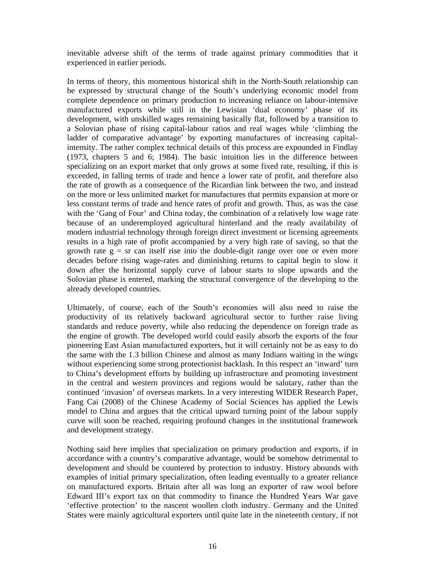inevitable adverse shift of the terms of trade against primary commodities that it experienced in earlier periods.

In terms of theory, this momentous historical shift in the North-South relationship can be expressed by structural change of the South's underlying economic model from complete dependence on primary production to increasing reliance on labour-intensive manufactured exports while still in the Lewisian 'dual economy' phase of its development, with unskilled wages remaining basically flat, followed by a transition to a Solovian phase of rising capital-labour ratios and real wages while 'climbing the ladder of comparative advantage' by exporting manufactures of increasing capitalintensity. The rather complex technical details of this process are expounded in Findlay (1973, chapters 5 and 6; 1984). The basic intuition lies in the difference between specializing on an export market that only grows at some fixed rate, resulting, if this is exceeded, in falling terms of trade and hence a lower rate of profit, and therefore also the rate of growth as a consequence of the Ricardian link between the two, and instead on the more or less unlimited market for manufactures that permits expansion at more or less constant terms of trade and hence rates of profit and growth. Thus, as was the case with the 'Gang of Four' and China today, the combination of a relatively low wage rate because of an underemployed agricultural hinterland and the ready availability of modern industrial technology through foreign direct investment or licensing agreements results in a high rate of profit accompanied by a very high rate of saving, so that the growth rate  $g = sr$  can itself rise into the double-digit range over one or even more decades before rising wage-rates and diminishing returns to capital begin to slow it down after the horizontal supply curve of labour starts to slope upwards and the Solovian phase is entered, marking the structural convergence of the developing to the already developed countries.

Ultimately, of course, each of the South's economies will also need to raise the productivity of its relatively backward agricultural sector to further raise living standards and reduce poverty, while also reducing the dependence on foreign trade as the engine of growth. The developed world could easily absorb the exports of the four pioneering East Asian manufactured exporters, but it will certainly not be as easy to do the same with the 1.3 billion Chinese and almost as many Indians waiting in the wings without experiencing some strong protectionist backlash. In this respect an 'inward' turn to China's development efforts by building up infrastructure and promoting investment in the central and western provinces and regions would be salutary, rather than the continued 'invasion' of overseas markets. In a very interesting WIDER Research Paper, Fang Cai (2008) of the Chinese Academy of Social Sciences has applied the Lewis model to China and argues that the critical upward turning point of the labour supply curve will soon be reached, requiring profound changes in the institutional framework and development strategy.

Nothing said here implies that specialization on primary production and exports, if in accordance with a country's comparative advantage, would be somehow detrimental to development and should be countered by protection to industry. History abounds with examples of initial primary specialization, often leading eventually to a greater reliance on manufactured exports. Britain after all was long an exporter of raw wool before Edward III's export tax on that commodity to finance the Hundred Years War gave 'effective protection' to the nascent woollen cloth industry. Germany and the United States were mainly agricultural exporters until quite late in the nineteenth century, if not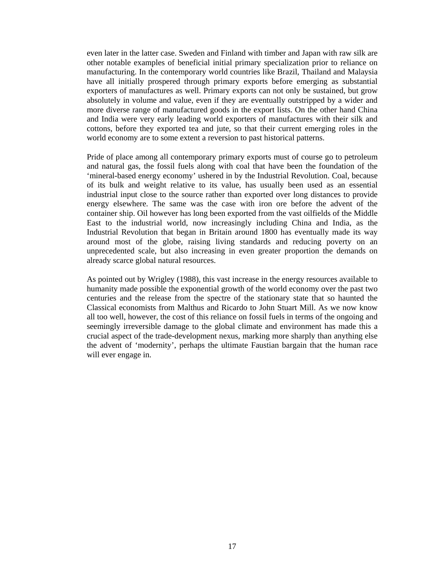even later in the latter case. Sweden and Finland with timber and Japan with raw silk are other notable examples of beneficial initial primary specialization prior to reliance on manufacturing. In the contemporary world countries like Brazil, Thailand and Malaysia have all initially prospered through primary exports before emerging as substantial exporters of manufactures as well. Primary exports can not only be sustained, but grow absolutely in volume and value, even if they are eventually outstripped by a wider and more diverse range of manufactured goods in the export lists. On the other hand China and India were very early leading world exporters of manufactures with their silk and cottons, before they exported tea and jute, so that their current emerging roles in the world economy are to some extent a reversion to past historical patterns.

Pride of place among all contemporary primary exports must of course go to petroleum and natural gas, the fossil fuels along with coal that have been the foundation of the 'mineral-based energy economy' ushered in by the Industrial Revolution. Coal, because of its bulk and weight relative to its value, has usually been used as an essential industrial input close to the source rather than exported over long distances to provide energy elsewhere. The same was the case with iron ore before the advent of the container ship. Oil however has long been exported from the vast oilfields of the Middle East to the industrial world, now increasingly including China and India, as the Industrial Revolution that began in Britain around 1800 has eventually made its way around most of the globe, raising living standards and reducing poverty on an unprecedented scale, but also increasing in even greater proportion the demands on already scarce global natural resources.

As pointed out by Wrigley (1988), this vast increase in the energy resources available to humanity made possible the exponential growth of the world economy over the past two centuries and the release from the spectre of the stationary state that so haunted the Classical economists from Malthus and Ricardo to John Stuart Mill. As we now know all too well, however, the cost of this reliance on fossil fuels in terms of the ongoing and seemingly irreversible damage to the global climate and environment has made this a crucial aspect of the trade-development nexus, marking more sharply than anything else the advent of 'modernity', perhaps the ultimate Faustian bargain that the human race will ever engage in.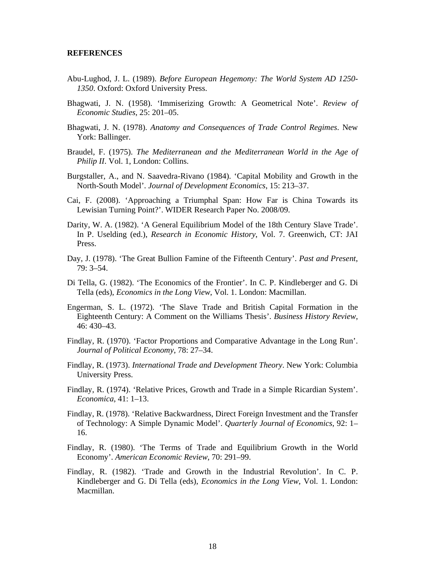#### **REFERENCES**

- Abu-Lughod, J. L. (1989). *Before European Hegemony: The World System AD 1250- 1350*. Oxford: Oxford University Press.
- Bhagwati, J. N. (1958). 'Immiserizing Growth: A Geometrical Note'. *Review of Economic Studies*, 25: 201–05.
- Bhagwati, J. N. (1978). *Anatomy and Consequences of Trade Control Regimes*. New York: Ballinger.
- Braudel, F. (1975). *The Mediterranean and the Mediterranean World in the Age of Philip II.* Vol. 1, London: Collins.
- Burgstaller, A., and N. Saavedra-Rivano (1984). 'Capital Mobility and Growth in the North-South Model'. *Journal of Development Economics*, 15: 213–37.
- Cai, F. (2008). 'Approaching a Triumphal Span: How Far is China Towards its Lewisian Turning Point?'. WIDER Research Paper No. 2008/09.
- Darity, W. A. (1982). 'A General Equilibrium Model of the 18th Century Slave Trade'. In P. Uselding (ed.), *Research in Economic History*, Vol. 7. Greenwich, CT: JAI Press.
- Day, J. (1978). 'The Great Bullion Famine of the Fifteenth Century'. *Past and Present*, 79: 3–54.
- Di Tella, G. (1982). 'The Economics of the Frontier'. In C. P. Kindleberger and G. Di Tella (eds), *Economics in the Long View*, Vol. 1. London: Macmillan.
- Engerman, S. L. (1972). 'The Slave Trade and British Capital Formation in the Eighteenth Century: A Comment on the Williams Thesis'. *Business History Review*, 46: 430–43.
- Findlay, R. (1970). 'Factor Proportions and Comparative Advantage in the Long Run'. *Journal of Political Economy*, 78: 27–34.
- Findlay, R. (1973). *International Trade and Development Theory*. New York: Columbia University Press.
- Findlay, R. (1974). 'Relative Prices, Growth and Trade in a Simple Ricardian System'. *Economica*, 41: 1–13.
- Findlay, R. (1978). 'Relative Backwardness, Direct Foreign Investment and the Transfer of Technology: A Simple Dynamic Model'. *Quarterly Journal of Economics*, 92: 1– 16.
- Findlay, R. (1980). 'The Terms of Trade and Equilibrium Growth in the World Economy'. *American Economic Review*, 70: 291–99.
- Findlay, R. (1982). 'Trade and Growth in the Industrial Revolution'. In C. P. Kindleberger and G. Di Tella (eds), *Economics in the Long View*, Vol. 1. London: Macmillan.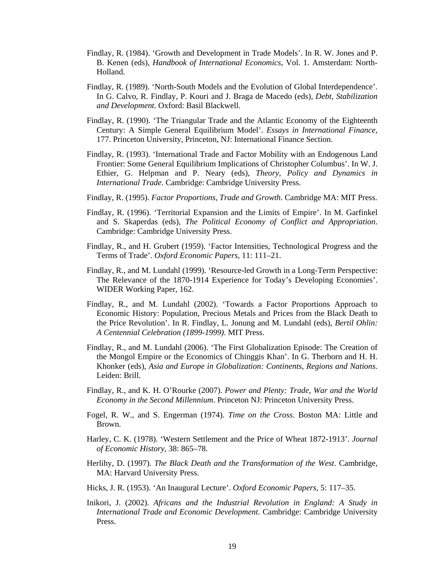- Findlay, R. (1984). 'Growth and Development in Trade Models'. In R. W. Jones and P. B. Kenen (eds), *Handbook of International Economics*, Vol. 1. Amsterdam: North-Holland.
- Findlay, R. (1989). 'North-South Models and the Evolution of Global Interdependence'. In G. Calvo, R. Findlay, P. Kouri and J. Braga de Macedo (eds), *Debt, Stabilization and Development*. Oxford: Basil Blackwell.
- Findlay, R. (1990). 'The Triangular Trade and the Atlantic Economy of the Eighteenth Century: A Simple General Equilibrium Model'. *Essays in International Finance*, 177. Princeton University, Princeton, NJ: International Finance Section.
- Findlay, R. (1993). 'International Trade and Factor Mobility with an Endogenous Land Frontier: Some General Equilibrium Implications of Christopher Columbus'. In W. J. Ethier, G. Helpman and P. Neary (eds), *Theory, Policy and Dynamics in International Trade*. Cambridge: Cambridge University Press.
- Findlay, R. (1995). *Factor Proportions, Trade and Growth*. Cambridge MA: MIT Press.
- Findlay, R. (1996). 'Territorial Expansion and the Limits of Empire'. In M. Garfinkel and S. Skaperdas (eds), *The Political Economy of Conflict and Appropriation*. Cambridge: Cambridge University Press.
- Findlay, R., and H. Grubert (1959). 'Factor Intensities, Technological Progress and the Terms of Trade'. *Oxford Economic Papers*, 11: 111–21.
- Findlay, R., and M. Lundahl (1999). 'Resource-led Growth in a Long-Term Perspective: The Relevance of the 1870-1914 Experience for Today's Developing Economies'. WIDER Working Paper, 162.
- Findlay, R., and M. Lundahl (2002). 'Towards a Factor Proportions Approach to Economic History: Population, Precious Metals and Prices from the Black Death to the Price Revolution'. In R. Findlay, L. Jonung and M. Lundahl (eds), *Bertil Ohlin: A Centennial Celebration (1899-1999)*. MIT Press.
- Findlay, R., and M. Lundahl (2006). 'The First Globalization Episode: The Creation of the Mongol Empire or the Economics of Chinggis Khan'. In G. Therborn and H. H. Khonker (eds), *Asia and Europe in Globalization: Continents, Regions and Nations*. Leiden: Brill.
- Findlay, R., and K. H. O'Rourke (2007). *Power and Plenty: Trade, War and the World Economy in the Second Millennium*. Princeton NJ: Princeton University Press.
- Fogel, R. W., and S. Engerman (1974). *Time on the Cross*. Boston MA: Little and Brown.
- Harley, C. K. (1978). 'Western Settlement and the Price of Wheat 1872-1913'. *Journal of Economic History*, 38: 865–78.
- Herlihy, D. (1997). *The Black Death and the Transformation of the West*. Cambridge, MA: Harvard University Press.
- Hicks, J. R. (1953). 'An Inaugural Lecture'. *Oxford Economic Papers*, 5: 117–35.
- Inikori, J. (2002). *Africans and the Industrial Revolution in England: A Study in International Trade and Economic Development*. Cambridge: Cambridge University Press.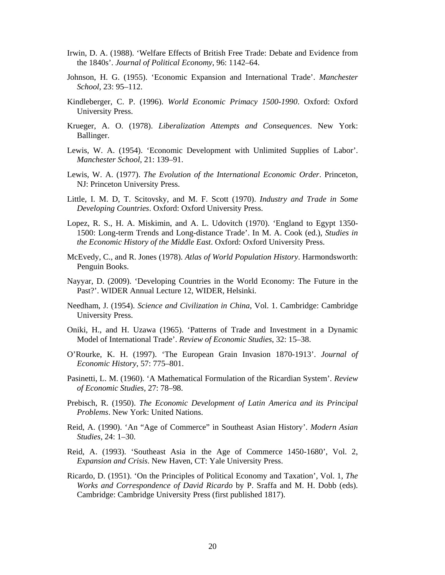- Irwin, D. A. (1988). 'Welfare Effects of British Free Trade: Debate and Evidence from the 1840s'. *Journal of Political Economy*, 96: 1142–64.
- Johnson, H. G. (1955). 'Economic Expansion and International Trade'. *Manchester School*, 23: 95–112.
- Kindleberger, C. P. (1996). *World Economic Primacy 1500-1990*. Oxford: Oxford University Press.
- Krueger, A. O. (1978). *Liberalization Attempts and Consequences*. New York: Ballinger.
- Lewis, W. A. (1954). 'Economic Development with Unlimited Supplies of Labor'. *Manchester School*, 21: 139–91.
- Lewis, W. A. (1977). *The Evolution of the International Economic Order*. Princeton, NJ: Princeton University Press.
- Little, I. M. D, T. Scitovsky, and M. F. Scott (1970). *Industry and Trade in Some Developing Countries*. Oxford: Oxford University Press.
- Lopez, R. S., H. A. Miskimin, and A. L. Udovitch (1970). 'England to Egypt 1350- 1500: Long-term Trends and Long-distance Trade'. In M. A. Cook (ed.), *Studies in the Economic History of the Middle East*. Oxford: Oxford University Press.
- McEvedy, C., and R. Jones (1978). *Atlas of World Population History*. Harmondsworth: Penguin Books.
- Nayyar, D. (2009). 'Developing Countries in the World Economy: The Future in the Past?'. WIDER Annual Lecture 12, WIDER, Helsinki.
- Needham, J. (1954). *Science and Civilization in China*, Vol. 1. Cambridge: Cambridge University Press.
- Oniki, H., and H. Uzawa (1965). 'Patterns of Trade and Investment in a Dynamic Model of International Trade'. *Review of Economic Studies*, 32: 15–38.
- O'Rourke, K. H. (1997). 'The European Grain Invasion 1870-1913'. *Journal of Economic History*, 57: 775–801.
- Pasinetti, L. M. (1960). 'A Mathematical Formulation of the Ricardian System'. *Review of Economic Studies*, 27: 78–98.
- Prebisch, R. (1950). *The Economic Development of Latin America and its Principal Problems*. New York: United Nations.
- Reid, A. (1990). 'An "Age of Commerce" in Southeast Asian History'. *Modern Asian Studies*, 24: 1–30.
- Reid, A. (1993). 'Southeast Asia in the Age of Commerce 1450-1680', Vol. 2, *Expansion and Crisis*. New Haven, CT: Yale University Press.
- Ricardo, D. (1951). 'On the Principles of Political Economy and Taxation', Vol. 1, *The Works and Correspondence of David Ricardo* by P. Sraffa and M. H. Dobb (eds). Cambridge: Cambridge University Press (first published 1817).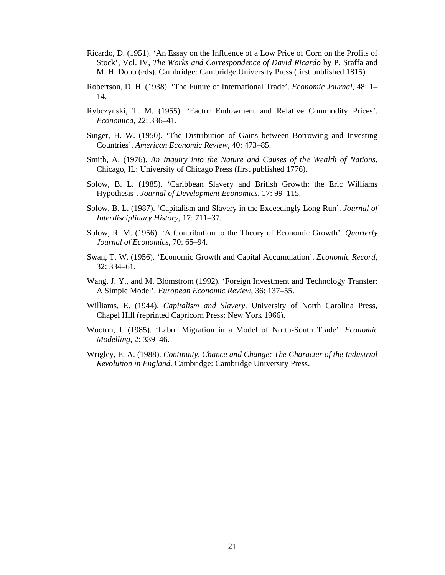- Ricardo, D. (1951). 'An Essay on the Influence of a Low Price of Corn on the Profits of Stock', Vol. IV, *The Works and Correspondence of David Ricardo* by P. Sraffa and M. H. Dobb (eds). Cambridge: Cambridge University Press (first published 1815).
- Robertson, D. H. (1938). 'The Future of International Trade'. *Economic Journal*, 48: 1– 14.
- Rybczynski, T. M. (1955). 'Factor Endowment and Relative Commodity Prices'. *Economica*, 22: 336–41.
- Singer, H. W. (1950). 'The Distribution of Gains between Borrowing and Investing Countries'. *American Economic Review*, 40: 473–85.
- Smith, A. (1976). *An Inquiry into the Nature and Causes of the Wealth of Nations*. Chicago, IL: University of Chicago Press (first published 1776).
- Solow, B. L. (1985). 'Caribbean Slavery and British Growth: the Eric Williams Hypothesis'. *Journal of Development Economics*, 17: 99–115.
- Solow, B. L. (1987). 'Capitalism and Slavery in the Exceedingly Long Run'. *Journal of Interdisciplinary History*, 17: 711–37.
- Solow, R. M. (1956). 'A Contribution to the Theory of Economic Growth'. *Quarterly Journal of Economics*, 70: 65–94.
- Swan, T. W. (1956). 'Economic Growth and Capital Accumulation'. *Economic Record*, 32: 334–61.
- Wang, J. Y., and M. Blomstrom (1992). 'Foreign Investment and Technology Transfer: A Simple Model'. *European Economic Review*, 36: 137–55.
- Williams, E. (1944). *Capitalism and Slavery*. University of North Carolina Press, Chapel Hill (reprinted Capricorn Press: New York 1966).
- Wooton, I. (1985). 'Labor Migration in a Model of North-South Trade'. *Economic Modelling*, 2: 339–46.
- Wrigley, E. A. (1988). *Continuity, Chance and Change: The Character of the Industrial Revolution in England*. Cambridge: Cambridge University Press.